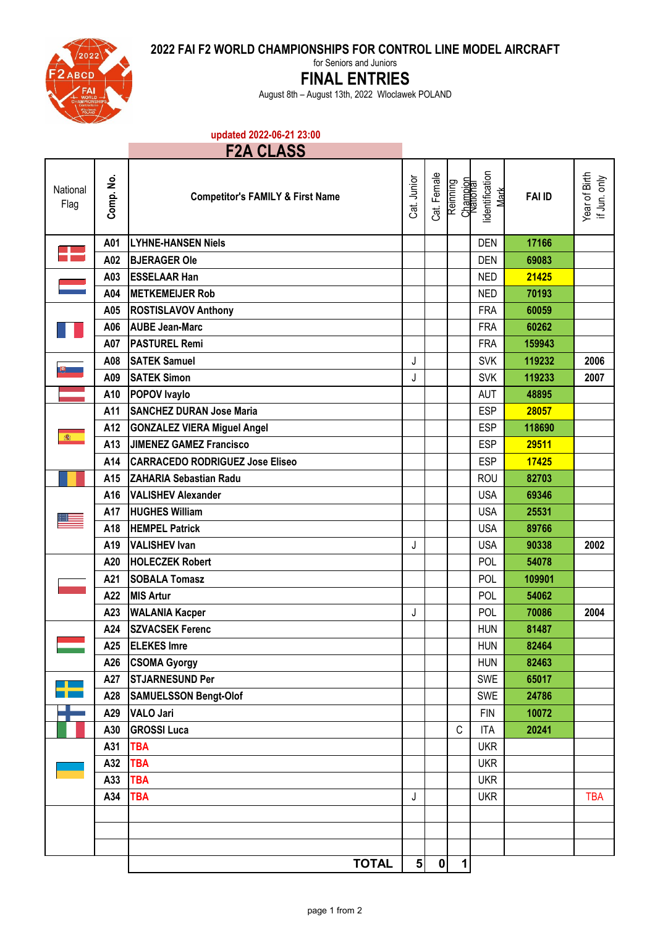**2022 FAI F2 WORLD CHAMPIONSHIPS FOR CONTROL LINE MODEL AIRCRAFT**



for Seniors and Juniors

## **FINAL ENTRIES**

August 8th – August 13th, 2022 Wloclawek POLAND

**updated 2022-06-21 23:00**

## **F2A CLASS**

| National<br>Flag | Comp. No. | <b>Competitor's FAMILY &amp; First Name</b> | Cat. Junior    | Cat. Female | Champion<br>National<br>Reinning | identification<br>$M$ ark | <b>FAI ID</b> | Year of Birth<br>if Jun. only |
|------------------|-----------|---------------------------------------------|----------------|-------------|----------------------------------|---------------------------|---------------|-------------------------------|
| ┱                | A01       | <b>LYHNE-HANSEN Niels</b>                   |                |             |                                  | <b>DEN</b>                | 17166         |                               |
|                  | A02       | <b>BJERAGER Ole</b>                         |                |             |                                  | <b>DEN</b>                | 69083         |                               |
|                  | A03       | <b>ESSELAAR Han</b>                         |                |             |                                  | <b>NED</b>                | 21425         |                               |
|                  | A04       | <b>METKEMEIJER Rob</b>                      |                |             |                                  | <b>NED</b>                | 70193         |                               |
|                  | A05       | <b>ROSTISLAVOV Anthony</b>                  |                |             |                                  | <b>FRA</b>                | 60059         |                               |
|                  | A06       | <b>AUBE Jean-Marc</b>                       |                |             |                                  | <b>FRA</b>                | 60262         |                               |
| $\mathbf{E}$     | A07       | <b>PASTUREL Remi</b>                        |                |             |                                  | <b>FRA</b>                | 159943        |                               |
|                  | A08       | <b>SATEK Samuel</b>                         | J              |             |                                  | <b>SVK</b>                | 119232        | 2006                          |
|                  | A09       | <b>SATEK Simon</b>                          | J              |             |                                  | <b>SVK</b>                | 119233        | 2007                          |
|                  | A10       | <b>POPOV</b> Ivaylo                         |                |             |                                  | <b>AUT</b>                | 48895         |                               |
| 6                | A11       | <b>SANCHEZ DURAN Jose Maria</b>             |                |             |                                  | <b>ESP</b>                | 28057         |                               |
|                  | A12       | <b>GONZALEZ VIERA Miguel Angel</b>          |                |             |                                  | <b>ESP</b>                | 118690        |                               |
|                  | A13       | <b>JIMENEZ GAMEZ Francisco</b>              |                |             |                                  | <b>ESP</b>                | 29511         |                               |
|                  | A14       | <b>CARRACEDO RODRIGUEZ Jose Eliseo</b>      |                |             |                                  | <b>ESP</b>                | 17425         |                               |
|                  | A15       | <b>ZAHARIA Sebastian Radu</b>               |                |             |                                  | <b>ROU</b>                | 82703         |                               |
|                  | A16       | <b>VALISHEV Alexander</b>                   |                |             |                                  | <b>USA</b>                | 69346         |                               |
|                  | A17       | <b>HUGHES William</b>                       |                |             |                                  | <b>USA</b>                | 25531         |                               |
|                  | A18       | <b>HEMPEL Patrick</b>                       |                |             |                                  | <b>USA</b>                | 89766         |                               |
|                  | A19       | <b>VALISHEV Ivan</b>                        | J              |             |                                  | <b>USA</b>                | 90338         | 2002                          |
|                  | A20       | <b>HOLECZEK Robert</b>                      |                |             |                                  | POL                       | 54078         |                               |
|                  | A21       | <b>SOBALA Tomasz</b>                        |                |             |                                  | POL                       | 109901        |                               |
|                  | A22       | <b>MIS Artur</b>                            |                |             |                                  | POL                       | 54062         |                               |
|                  | A23       | <b>WALANIA Kacper</b>                       | J              |             |                                  | POL                       | 70086         | 2004                          |
|                  | A24       | <b>SZVACSEK Ferenc</b>                      |                |             |                                  | <b>HUN</b>                | 81487         |                               |
|                  | A25       | <b>ELEKES Imre</b>                          |                |             |                                  | <b>HUN</b>                | 82464         |                               |
|                  | A26       | <b>CSOMA Gyorgy</b>                         |                |             |                                  | <b>HUN</b>                | 82463         |                               |
|                  | A27       | <b>STJARNESUND Per</b>                      |                |             |                                  | SWE                       | 65017         |                               |
|                  | A28       | <b>SAMUELSSON Bengt-Olof</b>                |                |             |                                  | SWE                       | 24786         |                               |
|                  | A29       | <b>VALO Jari</b>                            |                |             |                                  | <b>FIN</b>                | 10072         |                               |
|                  | A30       | <b>GROSSI Luca</b>                          |                |             | $\mathsf C$                      | <b>ITA</b>                | 20241         |                               |
|                  | A31       | <b>TBA</b>                                  |                |             |                                  | <b>UKR</b>                |               |                               |
|                  | A32       | <b>TBA</b>                                  |                |             |                                  | <b>UKR</b>                |               |                               |
|                  | A33       | <b>TBA</b>                                  |                |             |                                  | <b>UKR</b>                |               |                               |
|                  | A34       | <b>TBA</b>                                  | J              |             |                                  | <b>UKR</b>                |               | <b>TBA</b>                    |
|                  |           |                                             |                |             |                                  |                           |               |                               |
|                  |           |                                             |                |             |                                  |                           |               |                               |
|                  |           |                                             |                |             |                                  |                           |               |                               |
|                  |           | <b>TOTAL</b>                                | 5 <sup>1</sup> | 0           | $\mathbf{1}$                     |                           |               |                               |